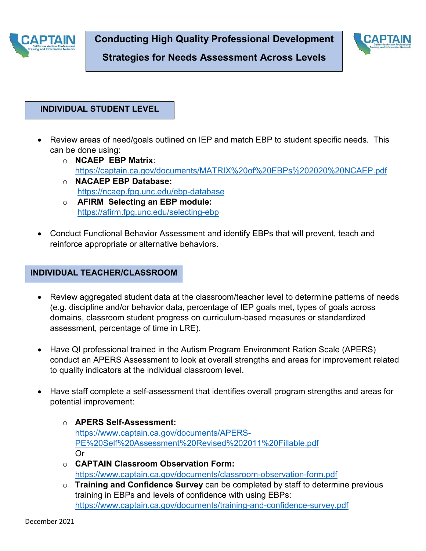



**Strategies for Needs Assessment Across Levels**

## **INDIVIDUAL STUDENT LEVEL**

- Review areas of need/goals outlined on IEP and match EBP to student specific needs. This can be done using:
	- o **NCAEP EBP Matrix**: <https://captain.ca.gov/documents/MATRIX%20of%20EBPs%202020%20NCAEP.pdf> o **NACAEP EBP Database:**
	- <https://ncaep.fpg.unc.edu/ebp-database>
	- o **AFIRM Selecting an EBP module:**  <https://afirm.fpg.unc.edu/selecting-ebp>
- Conduct Functional Behavior Assessment and identify EBPs that will prevent, teach and reinforce appropriate or alternative behaviors.

## **INDIVIDUAL TEACHER/CLASSROOM**

- Review aggregated student data at the classroom/teacher level to determine patterns of needs (e.g. discipline and/or behavior data, percentage of IEP goals met, types of goals across domains, classroom student progress on curriculum-based measures or standardized assessment, percentage of time in LRE).
- Have QI professional trained in the Autism Program Environment Ration Scale (APERS) conduct an APERS Assessment to look at overall strengths and areas for improvement related to quality indicators at the individual classroom level.
- Have staff complete a self-assessment that identifies overall program strengths and areas for potential improvement:
	- o **APERS Self-Assessment:** [https://www.captain.ca.gov/documents/APERS-](https://www.captain.ca.gov/documents/APERS-PE%20Self%20Assessment%20Revised%202011%20Fillable.pdf)[PE%20Self%20Assessment%20Revised%202011%20Fillable.pdf](https://www.captain.ca.gov/documents/APERS-PE%20Self%20Assessment%20Revised%202011%20Fillable.pdf) Or
	- o **CAPTAIN Classroom Observation Form:** <https://www.captain.ca.gov/documents/classroom-observation-form.pdf>
	- o **Training and Confidence Survey** can be completed by staff to determine previous training in EBPs and levels of confidence with using EBPs: <https://www.captain.ca.gov/documents/training-and-confidence-survey.pdf>